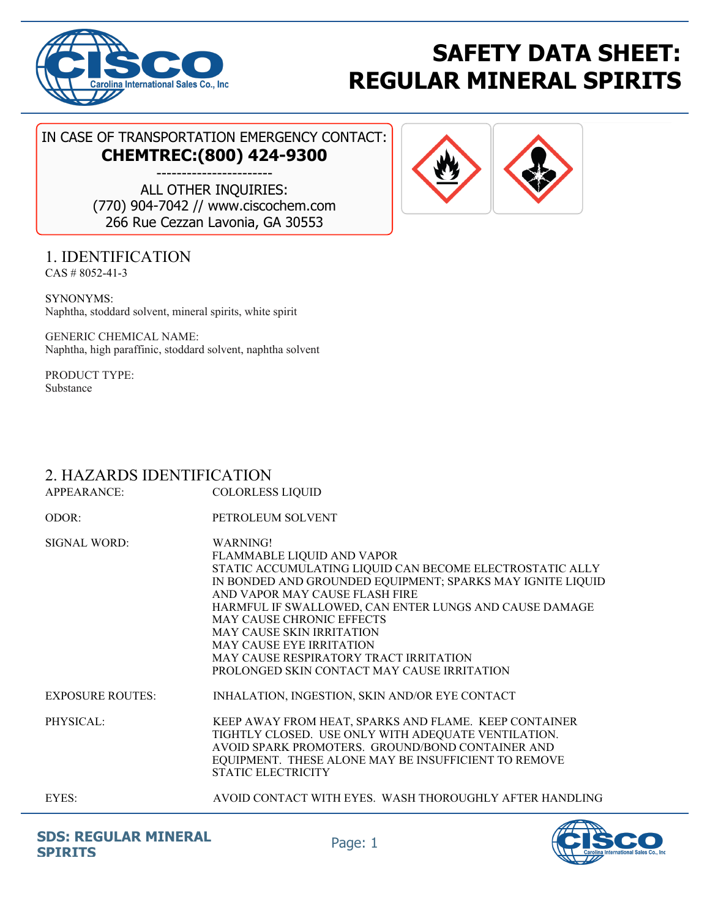

# **SAFETY DATA SHEET: REGULAR MINERAL SPIRITS**

### IN CASE OF TRANSPORTATION EMERGENCY CONTACT: **CHEMTREC:(800) 424-9300**

----------------------- ALL OTHER INQUIRIES: (770) 904-7042 // www.ciscochem.com 266 Rue Cezzan Lavonia, GA 30553

# 1. IDENTIFICATION

CAS # 8052-41-3

SYNONYMS: Naphtha, stoddard solvent, mineral spirits, white spirit

GENERIC CHEMICAL NAME: Naphtha, high paraffinic, stoddard solvent, naphtha solvent

PRODUCT TYPE: Substance

# 2. HAZARDS IDENTIFICATION

APPEARANCE: COLORLESS LIQUID ODOR: PETROLEUM SOLVENT SIGNAL WORD: WARNING! FLAMMABLE LIQUID AND VAPOR STATIC ACCUMULATING LIQUID CAN BECOME ELECTROSTATIC ALLY IN BONDED AND GROUNDED EQUIPMENT; SPARKS MAY IGNITE LIQUID AND VAPOR MAY CAUSE FLASH FIRE HARMFUL IF SWALLOWED, CAN ENTER LUNGS AND CAUSE DAMAGE MAY CAUSE CHRONIC EFFECTS MAY CAUSE SKIN IRRITATION MAY CAUSE EYE IRRITATION MAY CAUSE RESPIRATORY TRACT IRRITATION PROLONGED SKIN CONTACT MAY CAUSE IRRITATION EXPOSURE ROUTES: INHALATION, INGESTION, SKIN AND/OR EYE CONTACT PHYSICAL: KEEP AWAY FROM HEAT, SPARKS AND FLAME. KEEP CONTAINER TIGHTLY CLOSED. USE ONLY WITH ADEQUATE VENTILATION. AVOID SPARK PROMOTERS. GROUND/BOND CONTAINER AND EQUIPMENT. THESE ALONE MAY BE INSUFFICIENT TO REMOVE STATIC ELECTRICITY

EYES: AVOID CONTACT WITH EYES. WASH THOROUGHLY AFTER HANDLING



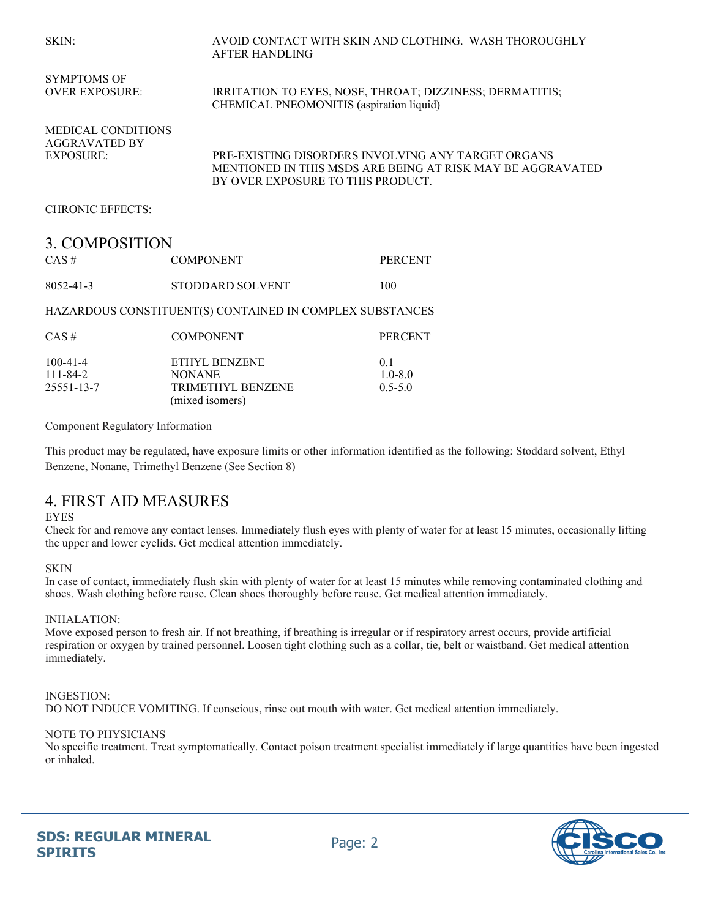#### SKIN: AVOID CONTACT WITH SKIN AND CLOTHING. WASH THOROUGHLY AFTER HANDLING

SYMPTOMS OF OVER EXPOSURE: IRRITATION TO EYES, NOSE, THROAT; DIZZINESS; DERMATITIS; CHEMICAL PNEOMONITIS (aspiration liquid) MEDICAL CONDITIONS AGGRAVATED BY EXPOSURE: PRE-EXISTING DISORDERS INVOLVING ANY TARGET ORGANS MENTIONED IN THIS MSDS ARE BEING AT RISK MAY BE AGGRAVATED BY OVER EXPOSURE TO THIS PRODUCT. CHRONIC EFFECTS: 3. COMPOSITION CAS # COMPONENT PERCENT

8052-41-3 STODDARD SOLVENT 100

#### HAZARDOUS CONSTITUENT(S) CONTAINED IN COMPLEX SUBSTANCES

| $CAS \#$       | <b>COMPONENT</b>                            | <b>PERCENT</b> |
|----------------|---------------------------------------------|----------------|
| $100 - 41 - 4$ | ETHYL BENZENE                               | 0 <sup>1</sup> |
| $111 - 84 - 2$ | <b>NONANE</b>                               | $1.0 - 8.0$    |
| 25551-13-7     | <b>TRIMETHYL BENZENE</b><br>(mixed isomers) | $0.5 - 5.0$    |

Component Regulatory Information

This product may be regulated, have exposure limits or other information identified as the following: Stoddard solvent, Ethyl Benzene, Nonane, Trimethyl Benzene (See Section 8)

### 4. FIRST AID MEASURES

#### EYES

Check for and remove any contact lenses. Immediately flush eyes with plenty of water for at least 15 minutes, occasionally lifting the upper and lower eyelids. Get medical attention immediately.

### **SKIN**

In case of contact, immediately flush skin with plenty of water for at least 15 minutes while removing contaminated clothing and shoes. Wash clothing before reuse. Clean shoes thoroughly before reuse. Get medical attention immediately.

#### INHALATION:

Move exposed person to fresh air. If not breathing, if breathing is irregular or if respiratory arrest occurs, provide artificial respiration or oxygen by trained personnel. Loosen tight clothing such as a collar, tie, belt or waistband. Get medical attention immediately.

### INGESTION:

DO NOT INDUCE VOMITING. If conscious, rinse out mouth with water. Get medical attention immediately.

#### NOTE TO PHYSICIANS

No specific treatment. Treat symptomatically. Contact poison treatment specialist immediately if large quantities have been ingested or inhaled.

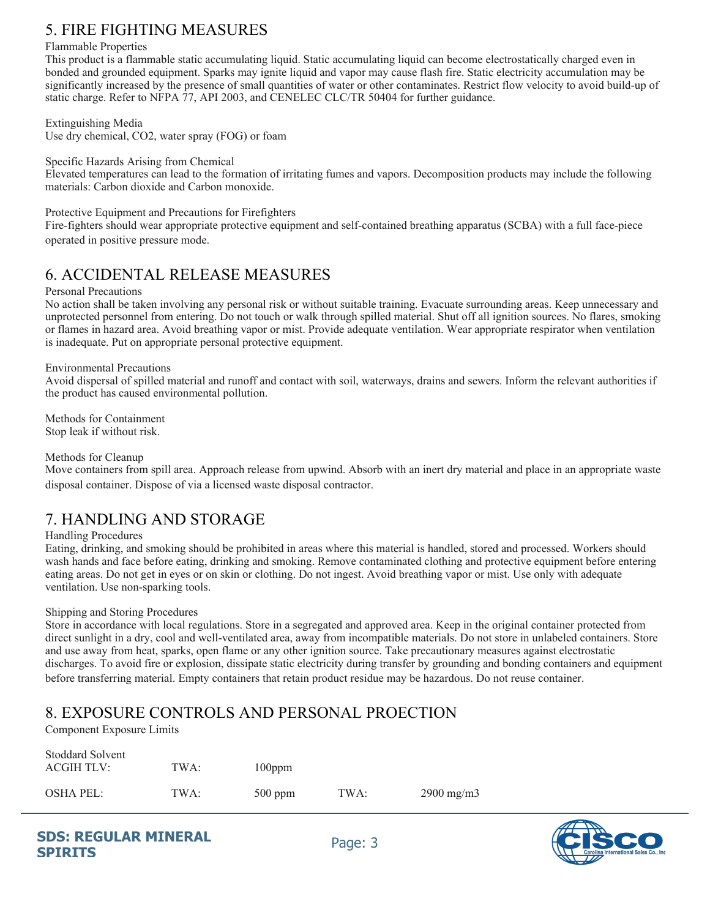# 5. FIRE FIGHTING MEASURES

### Flammable Properties

This product is a flammable static accumulating liquid. Static accumulating liquid can become electrostatically charged even in bonded and grounded equipment. Sparks may ignite liquid and vapor may cause flash fire. Static electricity accumulation may be significantly increased by the presence of small quantities of water or other contaminates. Restrict flow velocity to avoid build-up of static charge. Refer to NFPA 77, API 2003, and CENELEC CLC/TR 50404 for further guidance.

Extinguishing Media

Use dry chemical, CO2, water spray (FOG) or foam

Specific Hazards Arising from Chemical

Elevated temperatures can lead to the formation of irritating fumes and vapors. Decomposition products may include the following materials: Carbon dioxide and Carbon monoxide.

Protective Equipment and Precautions for Firefighters

Fire-fighters should wear appropriate protective equipment and self-contained breathing apparatus (SCBA) with a full face-piece operated in positive pressure mode.

### 6. ACCIDENTAL RELEASE MEASURES

### Personal Precautions

No action shall be taken involving any personal risk or without suitable training. Evacuate surrounding areas. Keep unnecessary and unprotected personnel from entering. Do not touch or walk through spilled material. Shut off all ignition sources. No flares, smoking or flames in hazard area. Avoid breathing vapor or mist. Provide adequate ventilation. Wear appropriate respirator when ventilation is inadequate. Put on appropriate personal protective equipment.

### Environmental Precautions

Avoid dispersal of spilled material and runoff and contact with soil, waterways, drains and sewers. Inform the relevant authorities if the product has caused environmental pollution.

Methods for Containment Stop leak if without risk.

### Methods for Cleanup

Move containers from spill area. Approach release from upwind. Absorb with an inert dry material and place in an appropriate waste disposal container. Dispose of via a licensed waste disposal contractor.

# 7. HANDLING AND STORAGE

### Handling Procedures

Eating, drinking, and smoking should be prohibited in areas where this material is handled, stored and processed. Workers should wash hands and face before eating, drinking and smoking. Remove contaminated clothing and protective equipment before entering eating areas. Do not get in eyes or on skin or clothing. Do not ingest. Avoid breathing vapor or mist. Use only with adequate ventilation. Use non-sparking tools.

### Shipping and Storing Procedures

Store in accordance with local regulations. Store in a segregated and approved area. Keep in the original container protected from direct sunlight in a dry, cool and well-ventilated area, away from incompatible materials. Do not store in unlabeled containers. Store and use away from heat, sparks, open flame or any other ignition source. Take precautionary measures against electrostatic discharges. To avoid fire or explosion, dissipate static electricity during transfer by grounding and bonding containers and equipment before transferring material. Empty containers that retain product residue may be hazardous. Do not reuse container.

# 8. EXPOSURE CONTROLS AND PERSONAL PROECTION

Component Exposure Limits

 $\alpha$ , 11, 1 $\alpha$ , 1

| Stoddard Solvent<br>ACGIH TLV: | TWA: | $100$ ppm |      |                     |
|--------------------------------|------|-----------|------|---------------------|
| OSHA PEL:                      | TWA: | $500$ ppm | TWA: | $2900 \text{ mg/m}$ |

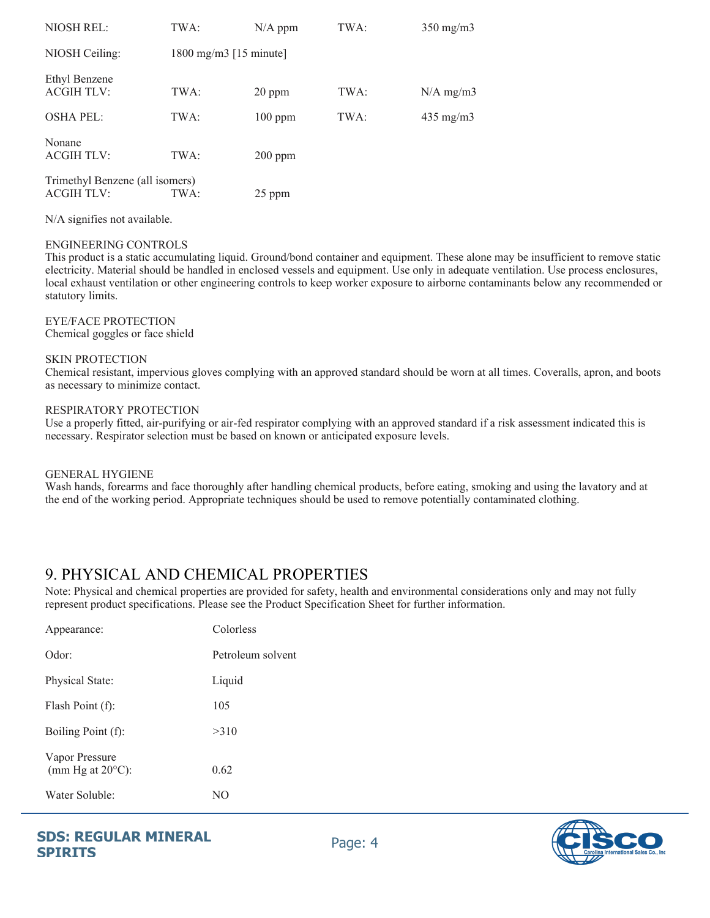| NIOSH REL:                                           | TWA:                      | $N/A$ ppm | TWA: | $350$ mg/m $3$     |
|------------------------------------------------------|---------------------------|-----------|------|--------------------|
| NIOSH Ceiling:                                       | 1800 mg/m $3$ [15 minute] |           |      |                    |
| Ethyl Benzene<br><b>ACGIH TLV:</b>                   | TWA:                      | 20 ppm    | TWA: | $N/A$ mg/m3        |
| <b>OSHA PEL:</b>                                     | TWA:                      | $100$ ppm | TWA: | $435 \text{ mg/m}$ |
| Nonane<br><b>ACGIH TLV:</b>                          | TWA:                      | $200$ ppm |      |                    |
| Trimethyl Benzene (all isomers)<br><b>ACGIH TLV:</b> | TWA:                      | 25 ppm    |      |                    |

N/A signifies not available.

#### ENGINEERING CONTROLS

This product is a static accumulating liquid. Ground/bond container and equipment. These alone may be insufficient to remove static electricity. Material should be handled in enclosed vessels and equipment. Use only in adequate ventilation. Use process enclosures, local exhaust ventilation or other engineering controls to keep worker exposure to airborne contaminants below any recommended or statutory limits.

### EYE/FACE PROTECTION

Chemical goggles or face shield

#### SKIN PROTECTION

Chemical resistant, impervious gloves complying with an approved standard should be worn at all times. Coveralls, apron, and boots as necessary to minimize contact.

#### RESPIRATORY PROTECTION

Use a properly fitted, air-purifying or air-fed respirator complying with an approved standard if a risk assessment indicated this is necessary. Respirator selection must be based on known or anticipated exposure levels.

#### GENERAL HYGIENE

Wash hands, forearms and face thoroughly after handling chemical products, before eating, smoking and using the lavatory and at the end of the working period. Appropriate techniques should be used to remove potentially contaminated clothing.

### 9. PHYSICAL AND CHEMICAL PROPERTIES

Note: Physical and chemical properties are provided for safety, health and environmental considerations only and may not fully represent product specifications. Please see the Product Specification Sheet for further information.

| Appearance:                                  | Colorless         |
|----------------------------------------------|-------------------|
| Odor:                                        | Petroleum solvent |
| Physical State:                              | Liquid            |
| Flash Point (f):                             | 105               |
| Boiling Point (f):                           | >310              |
| Vapor Pressure<br>(mm Hg at $20^{\circ}$ C): | 0.62              |
| Water Soluble:                               | NΟ                |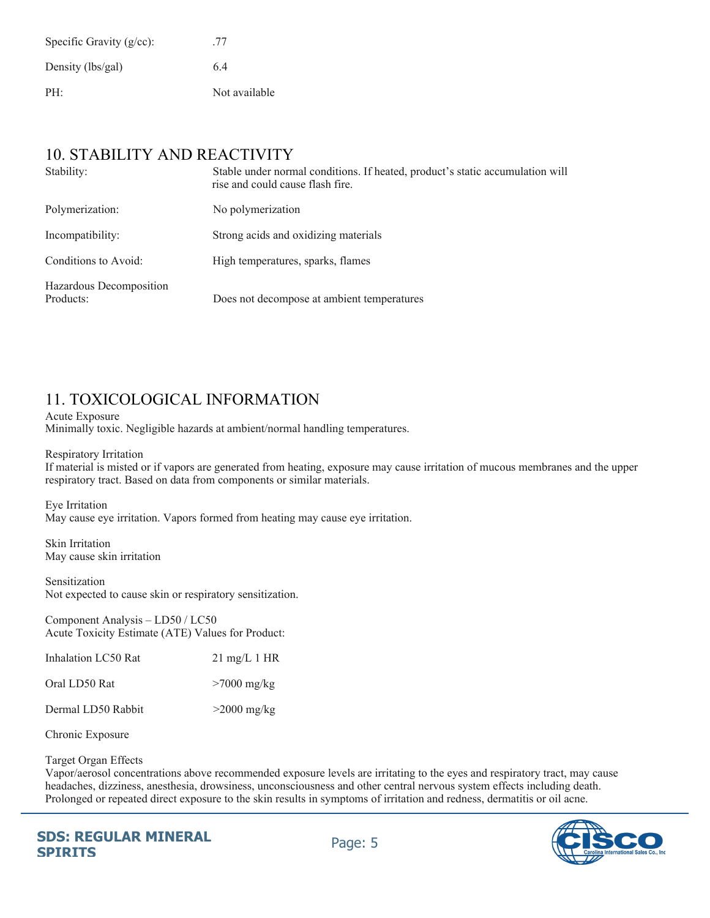| Specific Gravity $(g/cc)$ : | .77           |
|-----------------------------|---------------|
| Density (lbs/gal)           | 64            |
| PH:                         | Not available |

### 10. STABILITY AND REACTIVITY

| Stability:                           | Stable under normal conditions. If heated, product's static accumulation will<br>rise and could cause flash fire. |
|--------------------------------------|-------------------------------------------------------------------------------------------------------------------|
| Polymerization:                      | No polymerization                                                                                                 |
| Incompatibility:                     | Strong acids and oxidizing materials                                                                              |
| Conditions to Avoid:                 | High temperatures, sparks, flames                                                                                 |
| Hazardous Decomposition<br>Products: | Does not decompose at ambient temperatures                                                                        |

# 11. TOXICOLOGICAL INFORMATION

Acute Exposure Minimally toxic. Negligible hazards at ambient/normal handling temperatures.

Respiratory Irritation

If material is misted or if vapors are generated from heating, exposure may cause irritation of mucous membranes and the upper respiratory tract. Based on data from components or similar materials.

Eye Irritation May cause eye irritation. Vapors formed from heating may cause eye irritation.

Skin Irritation May cause skin irritation

Sensitization Not expected to cause skin or respiratory sensitization.

Component Analysis – LD50 / LC50 Acute Toxicity Estimate (ATE) Values for Product:

| Inhalation LC50 Rat | $21 \text{ mg/L} 1 \text{ HR}$ |
|---------------------|--------------------------------|
| Oral LD50 Rat       | $>7000$ mg/kg                  |
| Dermal LD50 Rabbit  | $>2000$ mg/kg                  |

Chronic Exposure

### Target Organ Effects

Vapor/aerosol concentrations above recommended exposure levels are irritating to the eyes and respiratory tract, may cause headaches, dizziness, anesthesia, drowsiness, unconsciousness and other central nervous system effects including death. Prolonged or repeated direct exposure to the skin results in symptoms of irritation and redness, dermatitis or oil acne.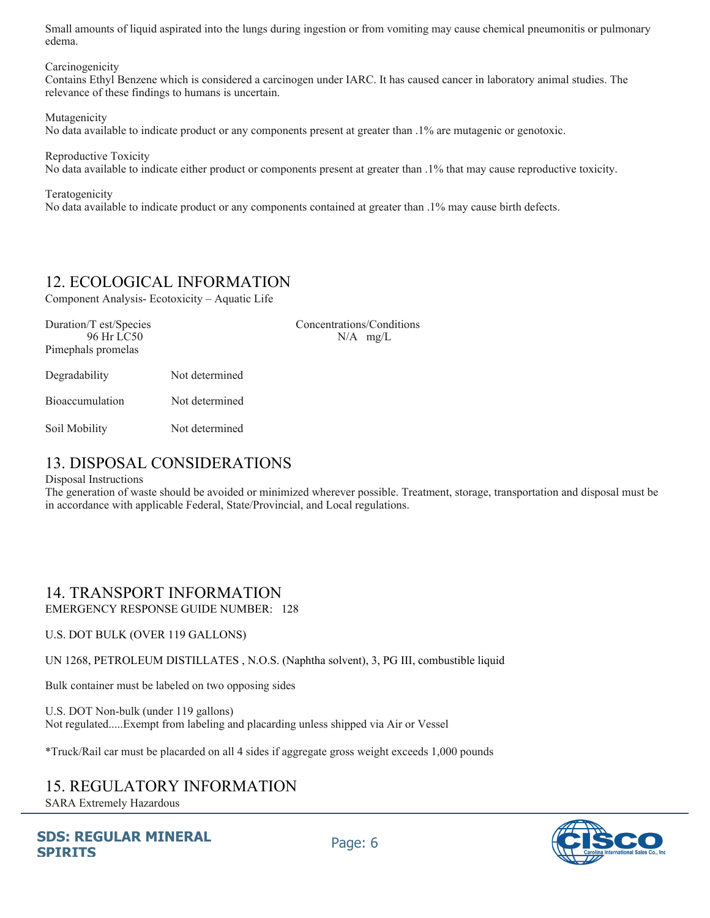Small amounts of liquid aspirated into the lungs during ingestion or from vomiting may cause chemical pneumonitis or pulmonary edema.

**Carcinogenicity** 

Contains Ethyl Benzene which is considered a carcinogen under IARC. It has caused cancer in laboratory animal studies. The relevance of these findings to humans is uncertain.

Mutagenicity

No data available to indicate product or any components present at greater than .1% are mutagenic or genotoxic.

Reproductive Toxicity No data available to indicate either product or components present at greater than .1% that may cause reproductive toxicity.

Teratogenicity No data available to indicate product or any components contained at greater than .1% may cause birth defects.

### 12. ECOLOGICAL INFORMATION

Component Analysis- Ecotoxicity – Aquatic Life

| Duration/T est/Species<br>96 Hr LC50<br>Pimephals promelas |                | Concentrations/Conditions<br>$N/A$ mg/L |
|------------------------------------------------------------|----------------|-----------------------------------------|
| Degradability                                              | Not determined |                                         |
| <b>Bioaccumulation</b>                                     | Not determined |                                         |
| Soil Mobility                                              | Not determined |                                         |

### 13. DISPOSAL CONSIDERATIONS

### Disposal Instructions

The generation of waste should be avoided or minimized wherever possible. Treatment, storage, transportation and disposal must be in accordance with applicable Federal, State/Provincial, and Local regulations.

### 14. TRANSPORT INFORMATION

EMERGENCY RESPONSE GUIDE NUMBER: 128

### U.S. DOT BULK (OVER 119 GALLONS)

UN 1268, PETROLEUM DISTILLATES , N.O.S. (Naphtha solvent), 3, PG III, combustible liquid

Bulk container must be labeled on two opposing sides

U.S. DOT Non-bulk (under 119 gallons) Not regulated.....Exempt from labeling and placarding unless shipped via Air or Vessel

\*Truck/Rail car must be placarded on all 4 sides if aggregate gross weight exceeds 1,000 pounds

# 15. REGULATORY INFORMATION

SARA Extremely Hazardous

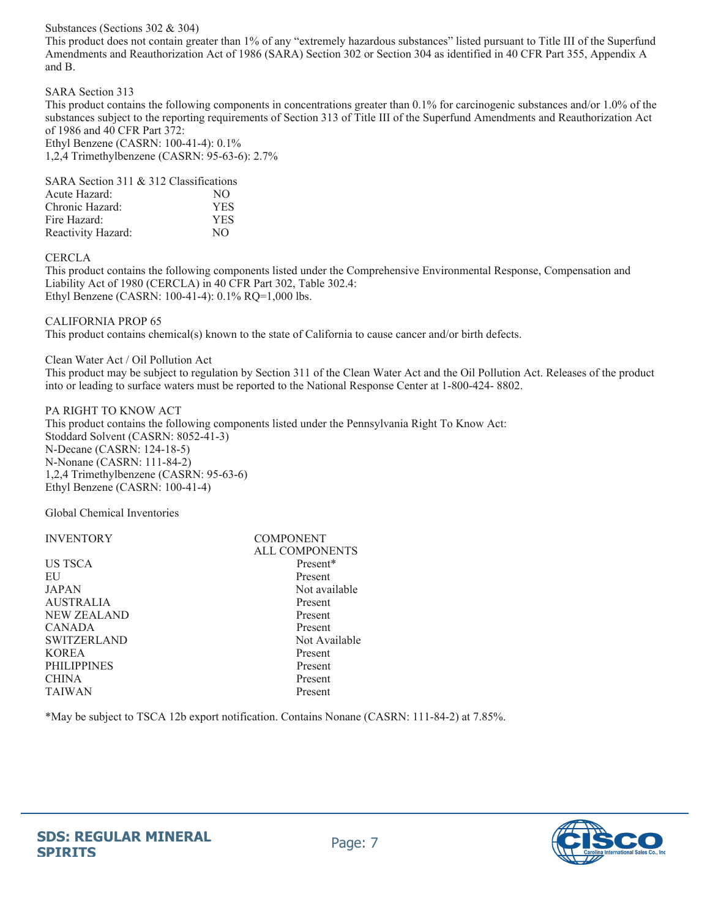### Substances (Sections 302 & 304)

This product does not contain greater than 1% of any "extremely hazardous substances" listed pursuant to Title III of the Superfund Amendments and Reauthorization Act of 1986 (SARA) Section 302 or Section 304 as identified in 40 CFR Part 355, Appendix A and B.

SARA Section 313

This product contains the following components in concentrations greater than 0.1% for carcinogenic substances and/or 1.0% of the substances subject to the reporting requirements of Section 313 of Title III of the Superfund Amendments and Reauthorization Act of 1986 and 40 CFR Part 372:

Ethyl Benzene (CASRN: 100-41-4): 0.1% 1,2,4 Trimethylbenzene (CASRN: 95-63-6): 2.7%

| SARA Section 311 & 312 Classifications |            |
|----------------------------------------|------------|
| Acute Hazard:                          | NO.        |
| Chronic Hazard:                        | <b>YES</b> |
| Fire Hazard:                           | <b>YES</b> |
| Reactivity Hazard:                     | NO.        |

CERCLA

This product contains the following components listed under the Comprehensive Environmental Response, Compensation and Liability Act of 1980 (CERCLA) in 40 CFR Part 302, Table 302.4: Ethyl Benzene (CASRN: 100-41-4): 0.1% RQ=1,000 lbs.

CALIFORNIA PROP 65

This product contains chemical(s) known to the state of California to cause cancer and/or birth defects.

Clean Water Act / Oil Pollution Act

This product may be subject to regulation by Section 311 of the Clean Water Act and the Oil Pollution Act. Releases of the product into or leading to surface waters must be reported to the National Response Center at 1-800-424- 8802.

PA RIGHT TO KNOW ACT This product contains the following components listed under the Pennsylvania Right To Know Act: Stoddard Solvent (CASRN: 8052-41-3) N-Decane (CASRN: 124-18-5) N-Nonane (CASRN: 111-84-2) 1,2,4 Trimethylbenzene (CASRN: 95-63-6) Ethyl Benzene (CASRN: 100-41-4)

Global Chemical Inventories

| <b>INVENTORY</b>   | <b>COMPONENT</b>      |  |
|--------------------|-----------------------|--|
|                    | <b>ALL COMPONENTS</b> |  |
| US TSCA            | Present*              |  |
| EU                 | Present               |  |
| JAPAN              | Not available         |  |
| <b>AUSTRALIA</b>   | Present               |  |
| NEW ZEALAND        | Present               |  |
| <b>CANADA</b>      | Present               |  |
| <b>SWITZERLAND</b> | Not Available         |  |
| <b>KOREA</b>       | Present               |  |
| <b>PHILIPPINES</b> | Present               |  |
| <b>CHINA</b>       | Present               |  |
| <b>TAIWAN</b>      | Present               |  |
|                    |                       |  |

\*May be subject to TSCA 12b export notification. Contains Nonane (CASRN: 111-84-2) at 7.85%.